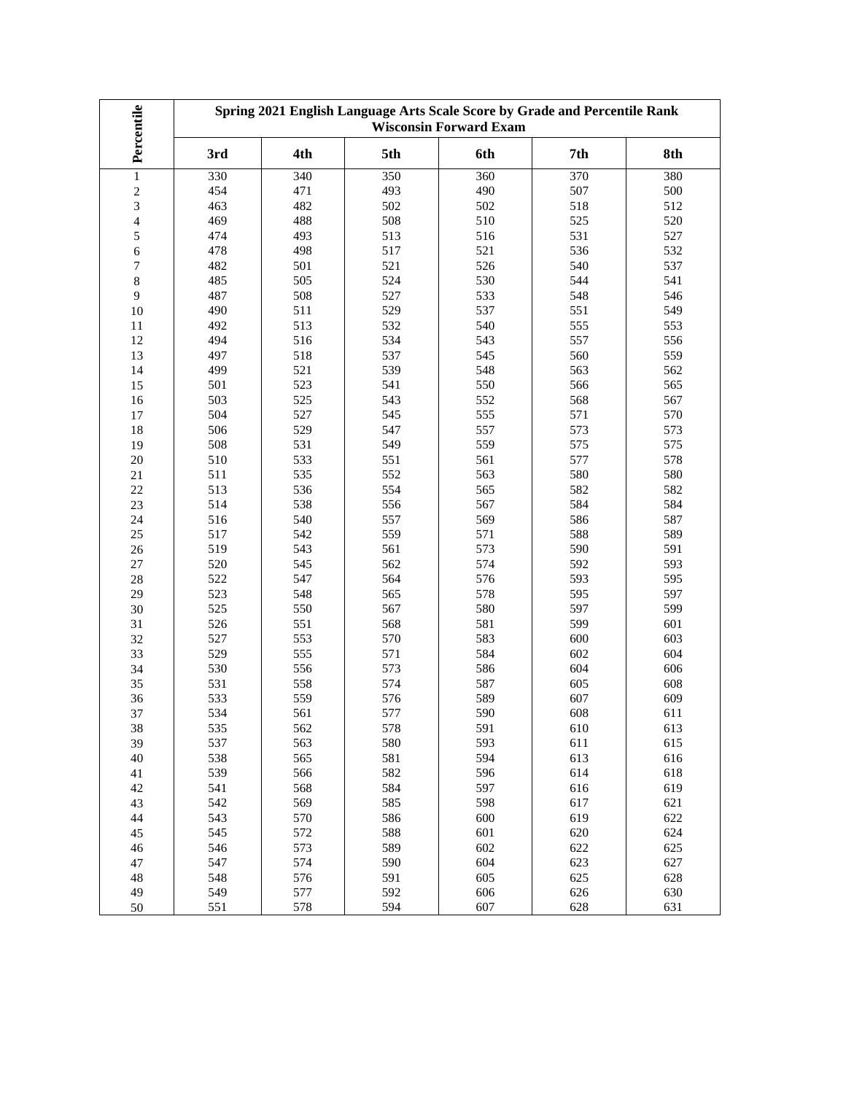| Percentile               | Spring 2021 English Language Arts Scale Score by Grade and Percentile Rank<br><b>Wisconsin Forward Exam</b> |     |     |                  |     |     |  |
|--------------------------|-------------------------------------------------------------------------------------------------------------|-----|-----|------------------|-----|-----|--|
|                          | 3rd                                                                                                         | 4th | 5th | 6th              | 7th | 8th |  |
| $\mathbf{1}$             | 330                                                                                                         | 340 | 350 | $\overline{3}60$ | 370 | 380 |  |
| $\sqrt{2}$               | 454                                                                                                         | 471 | 493 | 490              | 507 | 500 |  |
| 3                        | 463                                                                                                         | 482 | 502 | 502              | 518 | 512 |  |
| $\overline{\mathcal{L}}$ | 469                                                                                                         | 488 | 508 | 510              | 525 | 520 |  |
| 5                        | 474                                                                                                         | 493 | 513 | 516              | 531 | 527 |  |
| 6                        | 478                                                                                                         | 498 | 517 | 521              | 536 | 532 |  |
| 7                        | 482                                                                                                         | 501 | 521 | 526              | 540 | 537 |  |
| $\,8\,$                  | 485                                                                                                         | 505 | 524 | 530              | 544 | 541 |  |
| 9                        | 487                                                                                                         | 508 | 527 | 533              | 548 | 546 |  |
| $10\,$                   | 490                                                                                                         | 511 | 529 | 537              | 551 | 549 |  |
| 11                       | 492                                                                                                         | 513 | 532 | 540              | 555 | 553 |  |
| 12                       | 494                                                                                                         | 516 | 534 | 543              | 557 | 556 |  |
| 13                       | 497                                                                                                         | 518 | 537 | 545              | 560 | 559 |  |
| 14                       | 499                                                                                                         | 521 | 539 | 548              | 563 | 562 |  |
| 15                       | 501                                                                                                         | 523 | 541 | 550              | 566 | 565 |  |
| 16                       | 503                                                                                                         | 525 | 543 | 552              | 568 | 567 |  |
| 17                       | 504                                                                                                         | 527 | 545 | 555              | 571 | 570 |  |
| $18\,$                   | 506                                                                                                         | 529 | 547 | 557              | 573 | 573 |  |
| 19                       | 508                                                                                                         | 531 | 549 | 559              | 575 | 575 |  |
| 20                       | 510                                                                                                         | 533 | 551 | 561              | 577 | 578 |  |
| 21                       | 511                                                                                                         | 535 | 552 | 563              | 580 | 580 |  |
| $22\,$                   | 513                                                                                                         | 536 | 554 | 565              | 582 | 582 |  |
| 23                       | 514                                                                                                         | 538 | 556 | 567              | 584 | 584 |  |
| 24                       | 516                                                                                                         | 540 | 557 | 569              | 586 | 587 |  |
| 25                       | 517                                                                                                         | 542 | 559 | 571              | 588 | 589 |  |
| 26                       | 519                                                                                                         | 543 | 561 | 573              | 590 | 591 |  |
| 27                       | 520                                                                                                         | 545 | 562 | 574              | 592 | 593 |  |
| 28                       | 522                                                                                                         | 547 | 564 | 576              | 593 | 595 |  |
| 29                       | 523                                                                                                         | 548 | 565 | 578              | 595 | 597 |  |
| 30                       | 525                                                                                                         | 550 | 567 | 580              | 597 | 599 |  |
| 31                       | 526                                                                                                         | 551 | 568 | 581              | 599 | 601 |  |
| 32                       | 527                                                                                                         | 553 | 570 | 583              | 600 | 603 |  |
| 33                       | 529                                                                                                         | 555 | 571 | 584              | 602 | 604 |  |
| 34                       | 530                                                                                                         | 556 | 573 | 586              | 604 | 606 |  |
| 35                       | 531                                                                                                         | 558 | 574 | 587              | 605 | 608 |  |
| 36                       | 533                                                                                                         | 559 | 576 | 589              | 607 | 609 |  |
| 37                       | 534                                                                                                         | 561 | 577 | 590              | 608 | 611 |  |
| 38                       | 535                                                                                                         | 562 | 578 | 591              | 610 | 613 |  |
| 39                       | 537                                                                                                         | 563 | 580 | 593              | 611 | 615 |  |
| 40                       | 538                                                                                                         | 565 | 581 | 594              | 613 | 616 |  |
| 41                       | 539                                                                                                         | 566 | 582 | 596              | 614 | 618 |  |
| 42                       | 541                                                                                                         | 568 | 584 | 597              | 616 | 619 |  |
| 43                       | 542                                                                                                         | 569 | 585 | 598              | 617 | 621 |  |
| 44                       | 543                                                                                                         | 570 | 586 | 600              | 619 | 622 |  |
| 45                       | 545                                                                                                         | 572 | 588 | 601              | 620 | 624 |  |
| 46                       | 546                                                                                                         | 573 | 589 | 602              | 622 | 625 |  |
| 47                       | 547                                                                                                         | 574 | 590 | 604              | 623 | 627 |  |
| 48                       | 548                                                                                                         | 576 | 591 | 605              | 625 | 628 |  |
| 49                       | 549                                                                                                         | 577 | 592 | 606              | 626 | 630 |  |
| 50                       | 551                                                                                                         | 578 | 594 | 607              | 628 | 631 |  |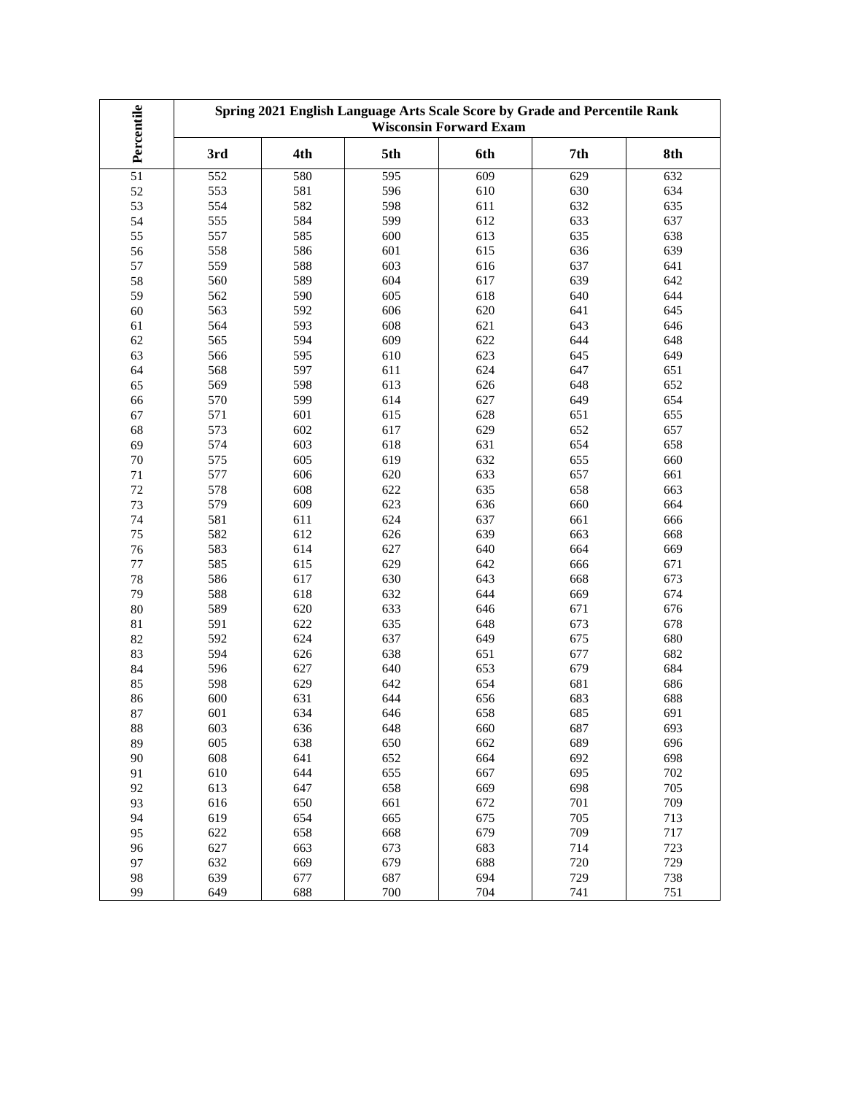| Percentile | Spring 2021 English Language Arts Scale Score by Grade and Percentile Rank<br><b>Wisconsin Forward Exam</b> |     |     |     |     |     |  |
|------------|-------------------------------------------------------------------------------------------------------------|-----|-----|-----|-----|-----|--|
|            | 3rd                                                                                                         | 4th | 5th | 6th | 7th | 8th |  |
| 51         | 552                                                                                                         | 580 | 595 | 609 | 629 | 632 |  |
| 52         | 553                                                                                                         | 581 | 596 | 610 | 630 | 634 |  |
| 53         | 554                                                                                                         | 582 | 598 | 611 | 632 | 635 |  |
| 54         | 555                                                                                                         | 584 | 599 | 612 | 633 | 637 |  |
| 55         | 557                                                                                                         | 585 | 600 | 613 | 635 | 638 |  |
| 56         | 558                                                                                                         | 586 | 601 | 615 | 636 | 639 |  |
| 57         | 559                                                                                                         | 588 | 603 | 616 | 637 | 641 |  |
| 58         | 560                                                                                                         | 589 | 604 | 617 | 639 | 642 |  |
| 59         | 562                                                                                                         | 590 | 605 | 618 | 640 | 644 |  |
| 60         | 563                                                                                                         | 592 | 606 | 620 | 641 | 645 |  |
| 61         | 564                                                                                                         | 593 | 608 | 621 | 643 | 646 |  |
| 62         | 565                                                                                                         | 594 | 609 | 622 | 644 | 648 |  |
| 63         | 566                                                                                                         | 595 | 610 | 623 | 645 | 649 |  |
| 64         | 568                                                                                                         | 597 | 611 | 624 | 647 | 651 |  |
| 65         | 569                                                                                                         | 598 | 613 | 626 | 648 | 652 |  |
| 66         | 570                                                                                                         | 599 | 614 | 627 | 649 | 654 |  |
| 67         | 571                                                                                                         | 601 | 615 | 628 | 651 | 655 |  |
| 68         | 573                                                                                                         | 602 | 617 | 629 | 652 | 657 |  |
| 69         | 574                                                                                                         | 603 | 618 | 631 | 654 | 658 |  |
| 70         | 575                                                                                                         | 605 | 619 | 632 | 655 | 660 |  |
| $71\,$     | 577                                                                                                         | 606 | 620 | 633 | 657 | 661 |  |
| $72\,$     | 578                                                                                                         | 608 | 622 | 635 | 658 | 663 |  |
| 73         | 579                                                                                                         | 609 | 623 | 636 | 660 | 664 |  |
| 74         | 581                                                                                                         | 611 | 624 | 637 | 661 | 666 |  |
| 75         | 582                                                                                                         | 612 | 626 | 639 | 663 | 668 |  |
| 76         | 583                                                                                                         | 614 | 627 | 640 | 664 | 669 |  |
| $77 \,$    | 585                                                                                                         | 615 | 629 | 642 | 666 | 671 |  |
| 78         | 586                                                                                                         | 617 | 630 | 643 | 668 | 673 |  |
| 79         | 588                                                                                                         | 618 | 632 | 644 | 669 | 674 |  |
| 80         | 589                                                                                                         | 620 | 633 | 646 | 671 | 676 |  |
| $81\,$     | 591                                                                                                         | 622 | 635 | 648 | 673 | 678 |  |
| 82         | 592                                                                                                         | 624 | 637 | 649 | 675 | 680 |  |
| 83         | 594                                                                                                         | 626 | 638 | 651 | 677 | 682 |  |
| 84         | 596                                                                                                         | 627 | 640 | 653 | 679 | 684 |  |
| 85         | 598                                                                                                         | 629 | 642 | 654 | 681 | 686 |  |
| 86         | 600                                                                                                         | 631 | 644 | 656 | 683 | 688 |  |
| 87         | 601                                                                                                         | 634 | 646 | 658 | 685 | 691 |  |
| 88         | 603                                                                                                         | 636 | 648 | 660 | 687 | 693 |  |
| 89         | 605                                                                                                         | 638 | 650 | 662 | 689 | 696 |  |
| 90         | 608                                                                                                         | 641 | 652 | 664 | 692 | 698 |  |
| 91         | 610                                                                                                         | 644 | 655 | 667 | 695 | 702 |  |
| 92         | 613                                                                                                         | 647 | 658 | 669 | 698 | 705 |  |
| 93         | 616                                                                                                         | 650 | 661 | 672 | 701 | 709 |  |
| 94         | 619                                                                                                         | 654 | 665 | 675 | 705 | 713 |  |
| 95         | 622                                                                                                         | 658 | 668 | 679 | 709 | 717 |  |
| 96         | 627                                                                                                         | 663 | 673 | 683 | 714 | 723 |  |
| 97         | 632                                                                                                         | 669 | 679 | 688 | 720 | 729 |  |
| 98         | 639                                                                                                         | 677 | 687 | 694 | 729 | 738 |  |
| 99         | 649                                                                                                         | 688 | 700 | 704 | 741 | 751 |  |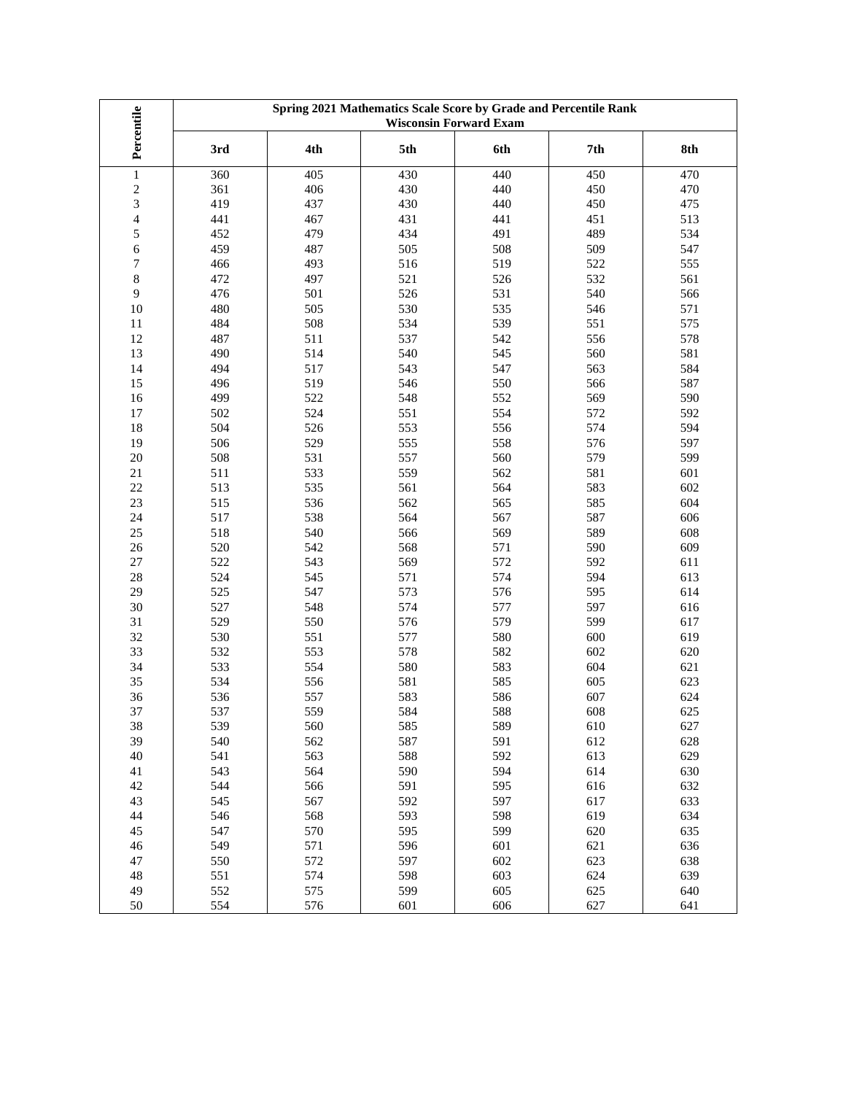|                          | Spring 2021 Mathematics Scale Score by Grade and Percentile Rank<br><b>Wisconsin Forward Exam</b> |     |     |     |     |     |  |
|--------------------------|---------------------------------------------------------------------------------------------------|-----|-----|-----|-----|-----|--|
| Percentile               | 3rd                                                                                               | 4th | 5th | 6th | 7th | 8th |  |
| $\,1$                    | 360                                                                                               | 405 | 430 | 440 | 450 | 470 |  |
| $\overline{c}$           | 361                                                                                               | 406 | 430 | 440 | 450 | 470 |  |
| 3                        | 419                                                                                               | 437 | 430 | 440 | 450 | 475 |  |
| $\overline{\mathcal{L}}$ | 441                                                                                               | 467 | 431 | 441 | 451 | 513 |  |
| 5                        | 452                                                                                               | 479 | 434 | 491 | 489 | 534 |  |
| 6                        | 459                                                                                               | 487 | 505 | 508 | 509 | 547 |  |
| 7                        | 466                                                                                               | 493 | 516 | 519 | 522 | 555 |  |
| 8                        | 472                                                                                               | 497 | 521 | 526 | 532 | 561 |  |
| 9                        | 476                                                                                               | 501 | 526 | 531 | 540 | 566 |  |
| 10                       | 480                                                                                               | 505 | 530 | 535 | 546 | 571 |  |
| 11                       | 484                                                                                               | 508 | 534 | 539 | 551 | 575 |  |
| 12                       | 487                                                                                               | 511 | 537 | 542 | 556 | 578 |  |
| 13                       | 490                                                                                               | 514 | 540 | 545 | 560 | 581 |  |
| 14                       | 494                                                                                               | 517 | 543 | 547 | 563 | 584 |  |
| 15                       | 496                                                                                               | 519 | 546 | 550 | 566 | 587 |  |
| 16                       | 499                                                                                               | 522 | 548 | 552 | 569 | 590 |  |
| 17                       | 502                                                                                               | 524 | 551 | 554 | 572 | 592 |  |
| 18                       | 504                                                                                               | 526 | 553 | 556 | 574 | 594 |  |
| 19                       | 506                                                                                               | 529 | 555 | 558 | 576 | 597 |  |
| 20                       | 508                                                                                               | 531 | 557 | 560 | 579 | 599 |  |
| $21\,$                   | 511                                                                                               | 533 | 559 | 562 | 581 | 601 |  |
| $22\,$                   | 513                                                                                               | 535 | 561 | 564 | 583 | 602 |  |
| 23                       | 515                                                                                               | 536 | 562 | 565 | 585 | 604 |  |
| 24                       | 517                                                                                               | 538 | 564 | 567 | 587 | 606 |  |
| 25                       | 518                                                                                               | 540 | 566 | 569 | 589 | 608 |  |
| 26                       | 520                                                                                               | 542 | 568 | 571 | 590 | 609 |  |
| $27\,$                   | 522                                                                                               | 543 | 569 | 572 | 592 | 611 |  |
| 28                       | 524                                                                                               | 545 | 571 | 574 | 594 | 613 |  |
| 29                       | 525                                                                                               | 547 | 573 | 576 | 595 | 614 |  |
| 30                       | 527                                                                                               | 548 | 574 | 577 | 597 | 616 |  |
| 31                       | 529                                                                                               | 550 | 576 | 579 | 599 | 617 |  |
| 32                       | 530                                                                                               | 551 | 577 | 580 | 600 | 619 |  |
| 33                       | 532                                                                                               | 553 | 578 | 582 | 602 | 620 |  |
| 34                       | 533                                                                                               | 554 | 580 | 583 | 604 | 621 |  |
| 35                       | 534                                                                                               | 556 | 581 | 585 | 605 | 623 |  |
| 36                       | 536                                                                                               | 557 | 583 | 586 | 607 | 624 |  |
| 37                       | 537                                                                                               | 559 | 584 | 588 | 608 | 625 |  |
| 38                       | 539                                                                                               | 560 | 585 | 589 | 610 | 627 |  |
| 39                       | 540                                                                                               | 562 | 587 | 591 | 612 | 628 |  |
| 40                       | 541                                                                                               | 563 | 588 | 592 | 613 | 629 |  |
| 41                       | 543                                                                                               | 564 | 590 | 594 | 614 | 630 |  |
| 42                       | 544                                                                                               | 566 | 591 | 595 | 616 | 632 |  |
| 43                       | 545                                                                                               | 567 | 592 | 597 | 617 | 633 |  |
| 44                       | 546                                                                                               | 568 | 593 | 598 | 619 | 634 |  |
| 45                       | 547                                                                                               | 570 | 595 | 599 | 620 | 635 |  |
| 46                       | 549                                                                                               | 571 | 596 | 601 | 621 | 636 |  |
| 47                       | 550                                                                                               | 572 | 597 | 602 | 623 | 638 |  |
| 48                       | 551                                                                                               | 574 | 598 | 603 | 624 | 639 |  |
| 49                       | 552                                                                                               | 575 | 599 | 605 | 625 | 640 |  |
| 50                       | 554                                                                                               | 576 | 601 | 606 | 627 | 641 |  |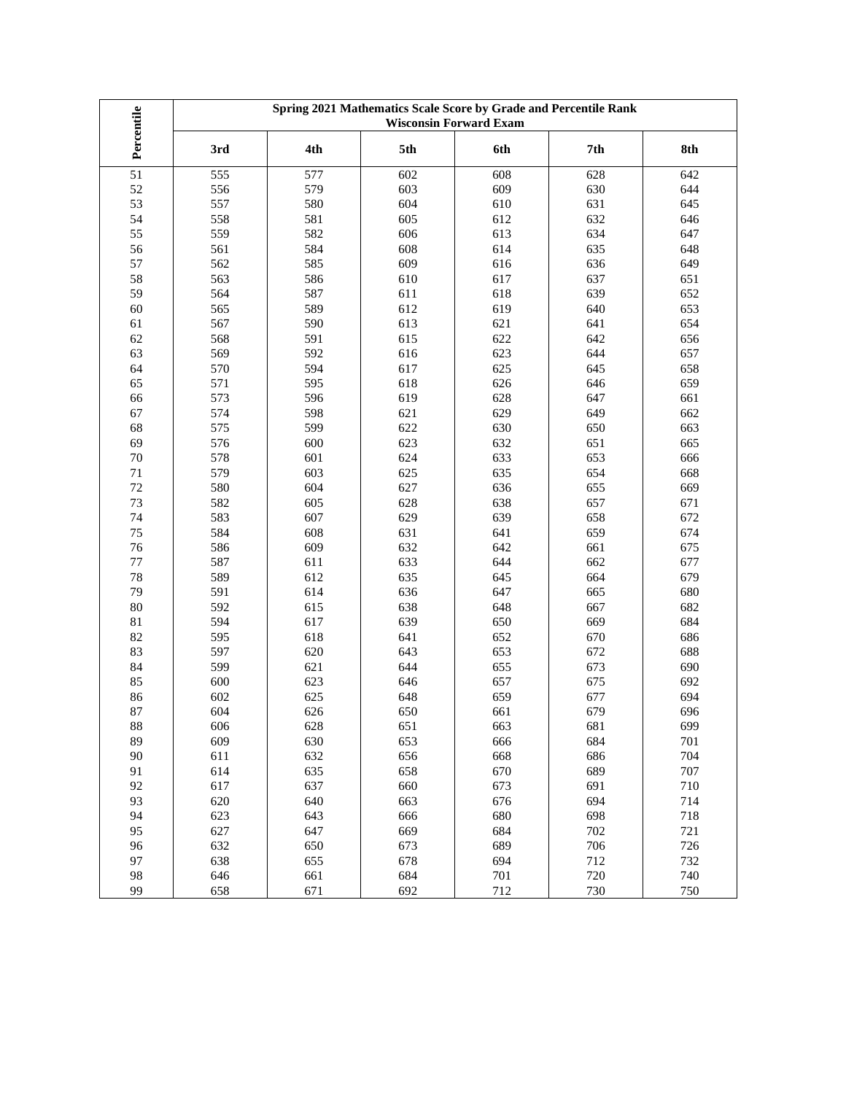| 4th<br>5th<br>6th<br>7th<br>8th<br>3rd<br>51<br>555<br>577<br>602<br>608<br>628<br>642<br>579<br>609<br>52<br>556<br>603<br>630<br>644<br>53<br>557<br>580<br>604<br>631<br>610<br>645<br>558<br>605<br>632<br>54<br>581<br>612<br>646<br>559<br>582<br>606<br>613<br>634<br>55<br>647<br>584<br>635<br>56<br>561<br>608<br>614<br>648<br>585<br>609<br>57<br>562<br>616<br>636<br>649<br>563<br>586<br>637<br>58<br>610<br>617<br>651<br>639<br>59<br>564<br>587<br>611<br>618<br>652<br>565<br>589<br>612<br>619<br>640<br>60<br>653<br>590<br>621<br>641<br>567<br>613<br>654<br>61<br>591<br>622<br>568<br>615<br>642<br>656<br>62<br>592<br>616<br>644<br>63<br>569<br>623<br>657<br>594<br>625<br>570<br>617<br>645<br>658<br>64<br>595<br>618<br>626<br>646<br>65<br>571<br>659<br>596<br>573<br>619<br>628<br>647<br>661<br>66<br>621<br>629<br>574<br>598<br>649<br>67<br>662<br>599<br>575<br>622<br>630<br>650<br>663<br>68<br>623<br>576<br>600<br>632<br>651<br>665<br>69<br>601<br>624<br>633<br>578<br>653<br>666<br>70<br>635<br>579<br>603<br>625<br>654<br>71<br>668<br>627<br>$72\,$<br>580<br>604<br>636<br>655<br>669<br>73<br>582<br>605<br>628<br>638<br>657<br>671<br>629<br>74<br>583<br>607<br>639<br>658<br>672<br>584<br>608<br>631<br>641<br>75<br>659<br>674<br>642<br>76<br>586<br>609<br>632<br>661<br>675<br>633<br>644<br>77<br>587<br>611<br>662<br>677<br>589<br>612<br>635<br>664<br>78<br>645<br>679<br>614<br>636<br>647<br>79<br>591<br>665<br>680<br>592<br>615<br>638<br>648<br>80<br>667<br>682<br>617<br>639<br>650<br>594<br>669<br>684<br>81<br>595<br>618<br>641<br>652<br>670<br>686<br>82<br>83<br>597<br>620<br>643<br>653<br>672<br>688<br>599<br>621<br>644<br>84<br>655<br>673<br>690<br>600<br>623<br>657<br>85<br>646<br>675<br>692<br>625<br>677<br>86<br>602<br>648<br>659<br>694<br>604<br>626<br>650<br>679<br>$87\,$<br>661<br>696<br>88<br>606<br>628<br>651<br>663<br>681<br>699<br>630<br>89<br>609<br>653<br>666<br>684<br>701<br>632<br>90<br>611<br>656<br>668<br>686<br>704<br>614<br>635<br>658<br>670<br>689<br>707<br>91<br>617<br>637<br>673<br>710<br>92<br>660<br>691<br>620<br>640<br>663<br>676<br>694<br>93<br>714<br>94<br>623<br>643<br>666<br>680<br>698<br>718<br>95<br>627<br>647<br>669<br>684<br>702<br>721<br>632<br>650<br>689<br>96<br>673<br>706<br>726<br>638<br>655<br>678<br>97<br>694<br>712<br>732<br>646<br>661<br>684<br>701<br>720<br>740<br>98 |            | Spring 2021 Mathematics Scale Score by Grade and Percentile Rank<br><b>Wisconsin Forward Exam</b> |     |     |     |     |     |
|------------------------------------------------------------------------------------------------------------------------------------------------------------------------------------------------------------------------------------------------------------------------------------------------------------------------------------------------------------------------------------------------------------------------------------------------------------------------------------------------------------------------------------------------------------------------------------------------------------------------------------------------------------------------------------------------------------------------------------------------------------------------------------------------------------------------------------------------------------------------------------------------------------------------------------------------------------------------------------------------------------------------------------------------------------------------------------------------------------------------------------------------------------------------------------------------------------------------------------------------------------------------------------------------------------------------------------------------------------------------------------------------------------------------------------------------------------------------------------------------------------------------------------------------------------------------------------------------------------------------------------------------------------------------------------------------------------------------------------------------------------------------------------------------------------------------------------------------------------------------------------------------------------------------------------------------------------------------------------------------------------------------------------------------------------------------------------------------------------------------------------------------------------------------------------------------------------------------------------------------------------------------------------------------------------------------------------------------------------------------------------------------------------------------------------------------|------------|---------------------------------------------------------------------------------------------------|-----|-----|-----|-----|-----|
|                                                                                                                                                                                                                                                                                                                                                                                                                                                                                                                                                                                                                                                                                                                                                                                                                                                                                                                                                                                                                                                                                                                                                                                                                                                                                                                                                                                                                                                                                                                                                                                                                                                                                                                                                                                                                                                                                                                                                                                                                                                                                                                                                                                                                                                                                                                                                                                                                                                | Percentile |                                                                                                   |     |     |     |     |     |
|                                                                                                                                                                                                                                                                                                                                                                                                                                                                                                                                                                                                                                                                                                                                                                                                                                                                                                                                                                                                                                                                                                                                                                                                                                                                                                                                                                                                                                                                                                                                                                                                                                                                                                                                                                                                                                                                                                                                                                                                                                                                                                                                                                                                                                                                                                                                                                                                                                                |            |                                                                                                   |     |     |     |     |     |
|                                                                                                                                                                                                                                                                                                                                                                                                                                                                                                                                                                                                                                                                                                                                                                                                                                                                                                                                                                                                                                                                                                                                                                                                                                                                                                                                                                                                                                                                                                                                                                                                                                                                                                                                                                                                                                                                                                                                                                                                                                                                                                                                                                                                                                                                                                                                                                                                                                                |            |                                                                                                   |     |     |     |     |     |
|                                                                                                                                                                                                                                                                                                                                                                                                                                                                                                                                                                                                                                                                                                                                                                                                                                                                                                                                                                                                                                                                                                                                                                                                                                                                                                                                                                                                                                                                                                                                                                                                                                                                                                                                                                                                                                                                                                                                                                                                                                                                                                                                                                                                                                                                                                                                                                                                                                                |            |                                                                                                   |     |     |     |     |     |
|                                                                                                                                                                                                                                                                                                                                                                                                                                                                                                                                                                                                                                                                                                                                                                                                                                                                                                                                                                                                                                                                                                                                                                                                                                                                                                                                                                                                                                                                                                                                                                                                                                                                                                                                                                                                                                                                                                                                                                                                                                                                                                                                                                                                                                                                                                                                                                                                                                                |            |                                                                                                   |     |     |     |     |     |
|                                                                                                                                                                                                                                                                                                                                                                                                                                                                                                                                                                                                                                                                                                                                                                                                                                                                                                                                                                                                                                                                                                                                                                                                                                                                                                                                                                                                                                                                                                                                                                                                                                                                                                                                                                                                                                                                                                                                                                                                                                                                                                                                                                                                                                                                                                                                                                                                                                                |            |                                                                                                   |     |     |     |     |     |
|                                                                                                                                                                                                                                                                                                                                                                                                                                                                                                                                                                                                                                                                                                                                                                                                                                                                                                                                                                                                                                                                                                                                                                                                                                                                                                                                                                                                                                                                                                                                                                                                                                                                                                                                                                                                                                                                                                                                                                                                                                                                                                                                                                                                                                                                                                                                                                                                                                                |            |                                                                                                   |     |     |     |     |     |
|                                                                                                                                                                                                                                                                                                                                                                                                                                                                                                                                                                                                                                                                                                                                                                                                                                                                                                                                                                                                                                                                                                                                                                                                                                                                                                                                                                                                                                                                                                                                                                                                                                                                                                                                                                                                                                                                                                                                                                                                                                                                                                                                                                                                                                                                                                                                                                                                                                                |            |                                                                                                   |     |     |     |     |     |
|                                                                                                                                                                                                                                                                                                                                                                                                                                                                                                                                                                                                                                                                                                                                                                                                                                                                                                                                                                                                                                                                                                                                                                                                                                                                                                                                                                                                                                                                                                                                                                                                                                                                                                                                                                                                                                                                                                                                                                                                                                                                                                                                                                                                                                                                                                                                                                                                                                                |            |                                                                                                   |     |     |     |     |     |
|                                                                                                                                                                                                                                                                                                                                                                                                                                                                                                                                                                                                                                                                                                                                                                                                                                                                                                                                                                                                                                                                                                                                                                                                                                                                                                                                                                                                                                                                                                                                                                                                                                                                                                                                                                                                                                                                                                                                                                                                                                                                                                                                                                                                                                                                                                                                                                                                                                                |            |                                                                                                   |     |     |     |     |     |
|                                                                                                                                                                                                                                                                                                                                                                                                                                                                                                                                                                                                                                                                                                                                                                                                                                                                                                                                                                                                                                                                                                                                                                                                                                                                                                                                                                                                                                                                                                                                                                                                                                                                                                                                                                                                                                                                                                                                                                                                                                                                                                                                                                                                                                                                                                                                                                                                                                                |            |                                                                                                   |     |     |     |     |     |
|                                                                                                                                                                                                                                                                                                                                                                                                                                                                                                                                                                                                                                                                                                                                                                                                                                                                                                                                                                                                                                                                                                                                                                                                                                                                                                                                                                                                                                                                                                                                                                                                                                                                                                                                                                                                                                                                                                                                                                                                                                                                                                                                                                                                                                                                                                                                                                                                                                                |            |                                                                                                   |     |     |     |     |     |
|                                                                                                                                                                                                                                                                                                                                                                                                                                                                                                                                                                                                                                                                                                                                                                                                                                                                                                                                                                                                                                                                                                                                                                                                                                                                                                                                                                                                                                                                                                                                                                                                                                                                                                                                                                                                                                                                                                                                                                                                                                                                                                                                                                                                                                                                                                                                                                                                                                                |            |                                                                                                   |     |     |     |     |     |
|                                                                                                                                                                                                                                                                                                                                                                                                                                                                                                                                                                                                                                                                                                                                                                                                                                                                                                                                                                                                                                                                                                                                                                                                                                                                                                                                                                                                                                                                                                                                                                                                                                                                                                                                                                                                                                                                                                                                                                                                                                                                                                                                                                                                                                                                                                                                                                                                                                                |            |                                                                                                   |     |     |     |     |     |
|                                                                                                                                                                                                                                                                                                                                                                                                                                                                                                                                                                                                                                                                                                                                                                                                                                                                                                                                                                                                                                                                                                                                                                                                                                                                                                                                                                                                                                                                                                                                                                                                                                                                                                                                                                                                                                                                                                                                                                                                                                                                                                                                                                                                                                                                                                                                                                                                                                                |            |                                                                                                   |     |     |     |     |     |
|                                                                                                                                                                                                                                                                                                                                                                                                                                                                                                                                                                                                                                                                                                                                                                                                                                                                                                                                                                                                                                                                                                                                                                                                                                                                                                                                                                                                                                                                                                                                                                                                                                                                                                                                                                                                                                                                                                                                                                                                                                                                                                                                                                                                                                                                                                                                                                                                                                                |            |                                                                                                   |     |     |     |     |     |
|                                                                                                                                                                                                                                                                                                                                                                                                                                                                                                                                                                                                                                                                                                                                                                                                                                                                                                                                                                                                                                                                                                                                                                                                                                                                                                                                                                                                                                                                                                                                                                                                                                                                                                                                                                                                                                                                                                                                                                                                                                                                                                                                                                                                                                                                                                                                                                                                                                                |            |                                                                                                   |     |     |     |     |     |
|                                                                                                                                                                                                                                                                                                                                                                                                                                                                                                                                                                                                                                                                                                                                                                                                                                                                                                                                                                                                                                                                                                                                                                                                                                                                                                                                                                                                                                                                                                                                                                                                                                                                                                                                                                                                                                                                                                                                                                                                                                                                                                                                                                                                                                                                                                                                                                                                                                                |            |                                                                                                   |     |     |     |     |     |
|                                                                                                                                                                                                                                                                                                                                                                                                                                                                                                                                                                                                                                                                                                                                                                                                                                                                                                                                                                                                                                                                                                                                                                                                                                                                                                                                                                                                                                                                                                                                                                                                                                                                                                                                                                                                                                                                                                                                                                                                                                                                                                                                                                                                                                                                                                                                                                                                                                                |            |                                                                                                   |     |     |     |     |     |
|                                                                                                                                                                                                                                                                                                                                                                                                                                                                                                                                                                                                                                                                                                                                                                                                                                                                                                                                                                                                                                                                                                                                                                                                                                                                                                                                                                                                                                                                                                                                                                                                                                                                                                                                                                                                                                                                                                                                                                                                                                                                                                                                                                                                                                                                                                                                                                                                                                                |            |                                                                                                   |     |     |     |     |     |
|                                                                                                                                                                                                                                                                                                                                                                                                                                                                                                                                                                                                                                                                                                                                                                                                                                                                                                                                                                                                                                                                                                                                                                                                                                                                                                                                                                                                                                                                                                                                                                                                                                                                                                                                                                                                                                                                                                                                                                                                                                                                                                                                                                                                                                                                                                                                                                                                                                                |            |                                                                                                   |     |     |     |     |     |
|                                                                                                                                                                                                                                                                                                                                                                                                                                                                                                                                                                                                                                                                                                                                                                                                                                                                                                                                                                                                                                                                                                                                                                                                                                                                                                                                                                                                                                                                                                                                                                                                                                                                                                                                                                                                                                                                                                                                                                                                                                                                                                                                                                                                                                                                                                                                                                                                                                                |            |                                                                                                   |     |     |     |     |     |
|                                                                                                                                                                                                                                                                                                                                                                                                                                                                                                                                                                                                                                                                                                                                                                                                                                                                                                                                                                                                                                                                                                                                                                                                                                                                                                                                                                                                                                                                                                                                                                                                                                                                                                                                                                                                                                                                                                                                                                                                                                                                                                                                                                                                                                                                                                                                                                                                                                                |            |                                                                                                   |     |     |     |     |     |
|                                                                                                                                                                                                                                                                                                                                                                                                                                                                                                                                                                                                                                                                                                                                                                                                                                                                                                                                                                                                                                                                                                                                                                                                                                                                                                                                                                                                                                                                                                                                                                                                                                                                                                                                                                                                                                                                                                                                                                                                                                                                                                                                                                                                                                                                                                                                                                                                                                                |            |                                                                                                   |     |     |     |     |     |
|                                                                                                                                                                                                                                                                                                                                                                                                                                                                                                                                                                                                                                                                                                                                                                                                                                                                                                                                                                                                                                                                                                                                                                                                                                                                                                                                                                                                                                                                                                                                                                                                                                                                                                                                                                                                                                                                                                                                                                                                                                                                                                                                                                                                                                                                                                                                                                                                                                                |            |                                                                                                   |     |     |     |     |     |
|                                                                                                                                                                                                                                                                                                                                                                                                                                                                                                                                                                                                                                                                                                                                                                                                                                                                                                                                                                                                                                                                                                                                                                                                                                                                                                                                                                                                                                                                                                                                                                                                                                                                                                                                                                                                                                                                                                                                                                                                                                                                                                                                                                                                                                                                                                                                                                                                                                                |            |                                                                                                   |     |     |     |     |     |
|                                                                                                                                                                                                                                                                                                                                                                                                                                                                                                                                                                                                                                                                                                                                                                                                                                                                                                                                                                                                                                                                                                                                                                                                                                                                                                                                                                                                                                                                                                                                                                                                                                                                                                                                                                                                                                                                                                                                                                                                                                                                                                                                                                                                                                                                                                                                                                                                                                                |            |                                                                                                   |     |     |     |     |     |
|                                                                                                                                                                                                                                                                                                                                                                                                                                                                                                                                                                                                                                                                                                                                                                                                                                                                                                                                                                                                                                                                                                                                                                                                                                                                                                                                                                                                                                                                                                                                                                                                                                                                                                                                                                                                                                                                                                                                                                                                                                                                                                                                                                                                                                                                                                                                                                                                                                                |            |                                                                                                   |     |     |     |     |     |
|                                                                                                                                                                                                                                                                                                                                                                                                                                                                                                                                                                                                                                                                                                                                                                                                                                                                                                                                                                                                                                                                                                                                                                                                                                                                                                                                                                                                                                                                                                                                                                                                                                                                                                                                                                                                                                                                                                                                                                                                                                                                                                                                                                                                                                                                                                                                                                                                                                                |            |                                                                                                   |     |     |     |     |     |
|                                                                                                                                                                                                                                                                                                                                                                                                                                                                                                                                                                                                                                                                                                                                                                                                                                                                                                                                                                                                                                                                                                                                                                                                                                                                                                                                                                                                                                                                                                                                                                                                                                                                                                                                                                                                                                                                                                                                                                                                                                                                                                                                                                                                                                                                                                                                                                                                                                                |            |                                                                                                   |     |     |     |     |     |
|                                                                                                                                                                                                                                                                                                                                                                                                                                                                                                                                                                                                                                                                                                                                                                                                                                                                                                                                                                                                                                                                                                                                                                                                                                                                                                                                                                                                                                                                                                                                                                                                                                                                                                                                                                                                                                                                                                                                                                                                                                                                                                                                                                                                                                                                                                                                                                                                                                                |            |                                                                                                   |     |     |     |     |     |
|                                                                                                                                                                                                                                                                                                                                                                                                                                                                                                                                                                                                                                                                                                                                                                                                                                                                                                                                                                                                                                                                                                                                                                                                                                                                                                                                                                                                                                                                                                                                                                                                                                                                                                                                                                                                                                                                                                                                                                                                                                                                                                                                                                                                                                                                                                                                                                                                                                                |            |                                                                                                   |     |     |     |     |     |
|                                                                                                                                                                                                                                                                                                                                                                                                                                                                                                                                                                                                                                                                                                                                                                                                                                                                                                                                                                                                                                                                                                                                                                                                                                                                                                                                                                                                                                                                                                                                                                                                                                                                                                                                                                                                                                                                                                                                                                                                                                                                                                                                                                                                                                                                                                                                                                                                                                                |            |                                                                                                   |     |     |     |     |     |
|                                                                                                                                                                                                                                                                                                                                                                                                                                                                                                                                                                                                                                                                                                                                                                                                                                                                                                                                                                                                                                                                                                                                                                                                                                                                                                                                                                                                                                                                                                                                                                                                                                                                                                                                                                                                                                                                                                                                                                                                                                                                                                                                                                                                                                                                                                                                                                                                                                                |            |                                                                                                   |     |     |     |     |     |
|                                                                                                                                                                                                                                                                                                                                                                                                                                                                                                                                                                                                                                                                                                                                                                                                                                                                                                                                                                                                                                                                                                                                                                                                                                                                                                                                                                                                                                                                                                                                                                                                                                                                                                                                                                                                                                                                                                                                                                                                                                                                                                                                                                                                                                                                                                                                                                                                                                                |            |                                                                                                   |     |     |     |     |     |
|                                                                                                                                                                                                                                                                                                                                                                                                                                                                                                                                                                                                                                                                                                                                                                                                                                                                                                                                                                                                                                                                                                                                                                                                                                                                                                                                                                                                                                                                                                                                                                                                                                                                                                                                                                                                                                                                                                                                                                                                                                                                                                                                                                                                                                                                                                                                                                                                                                                |            |                                                                                                   |     |     |     |     |     |
|                                                                                                                                                                                                                                                                                                                                                                                                                                                                                                                                                                                                                                                                                                                                                                                                                                                                                                                                                                                                                                                                                                                                                                                                                                                                                                                                                                                                                                                                                                                                                                                                                                                                                                                                                                                                                                                                                                                                                                                                                                                                                                                                                                                                                                                                                                                                                                                                                                                |            |                                                                                                   |     |     |     |     |     |
|                                                                                                                                                                                                                                                                                                                                                                                                                                                                                                                                                                                                                                                                                                                                                                                                                                                                                                                                                                                                                                                                                                                                                                                                                                                                                                                                                                                                                                                                                                                                                                                                                                                                                                                                                                                                                                                                                                                                                                                                                                                                                                                                                                                                                                                                                                                                                                                                                                                |            |                                                                                                   |     |     |     |     |     |
|                                                                                                                                                                                                                                                                                                                                                                                                                                                                                                                                                                                                                                                                                                                                                                                                                                                                                                                                                                                                                                                                                                                                                                                                                                                                                                                                                                                                                                                                                                                                                                                                                                                                                                                                                                                                                                                                                                                                                                                                                                                                                                                                                                                                                                                                                                                                                                                                                                                |            |                                                                                                   |     |     |     |     |     |
|                                                                                                                                                                                                                                                                                                                                                                                                                                                                                                                                                                                                                                                                                                                                                                                                                                                                                                                                                                                                                                                                                                                                                                                                                                                                                                                                                                                                                                                                                                                                                                                                                                                                                                                                                                                                                                                                                                                                                                                                                                                                                                                                                                                                                                                                                                                                                                                                                                                |            |                                                                                                   |     |     |     |     |     |
|                                                                                                                                                                                                                                                                                                                                                                                                                                                                                                                                                                                                                                                                                                                                                                                                                                                                                                                                                                                                                                                                                                                                                                                                                                                                                                                                                                                                                                                                                                                                                                                                                                                                                                                                                                                                                                                                                                                                                                                                                                                                                                                                                                                                                                                                                                                                                                                                                                                |            |                                                                                                   |     |     |     |     |     |
|                                                                                                                                                                                                                                                                                                                                                                                                                                                                                                                                                                                                                                                                                                                                                                                                                                                                                                                                                                                                                                                                                                                                                                                                                                                                                                                                                                                                                                                                                                                                                                                                                                                                                                                                                                                                                                                                                                                                                                                                                                                                                                                                                                                                                                                                                                                                                                                                                                                |            |                                                                                                   |     |     |     |     |     |
|                                                                                                                                                                                                                                                                                                                                                                                                                                                                                                                                                                                                                                                                                                                                                                                                                                                                                                                                                                                                                                                                                                                                                                                                                                                                                                                                                                                                                                                                                                                                                                                                                                                                                                                                                                                                                                                                                                                                                                                                                                                                                                                                                                                                                                                                                                                                                                                                                                                |            |                                                                                                   |     |     |     |     |     |
|                                                                                                                                                                                                                                                                                                                                                                                                                                                                                                                                                                                                                                                                                                                                                                                                                                                                                                                                                                                                                                                                                                                                                                                                                                                                                                                                                                                                                                                                                                                                                                                                                                                                                                                                                                                                                                                                                                                                                                                                                                                                                                                                                                                                                                                                                                                                                                                                                                                |            |                                                                                                   |     |     |     |     |     |
|                                                                                                                                                                                                                                                                                                                                                                                                                                                                                                                                                                                                                                                                                                                                                                                                                                                                                                                                                                                                                                                                                                                                                                                                                                                                                                                                                                                                                                                                                                                                                                                                                                                                                                                                                                                                                                                                                                                                                                                                                                                                                                                                                                                                                                                                                                                                                                                                                                                |            |                                                                                                   |     |     |     |     |     |
|                                                                                                                                                                                                                                                                                                                                                                                                                                                                                                                                                                                                                                                                                                                                                                                                                                                                                                                                                                                                                                                                                                                                                                                                                                                                                                                                                                                                                                                                                                                                                                                                                                                                                                                                                                                                                                                                                                                                                                                                                                                                                                                                                                                                                                                                                                                                                                                                                                                |            |                                                                                                   |     |     |     |     |     |
|                                                                                                                                                                                                                                                                                                                                                                                                                                                                                                                                                                                                                                                                                                                                                                                                                                                                                                                                                                                                                                                                                                                                                                                                                                                                                                                                                                                                                                                                                                                                                                                                                                                                                                                                                                                                                                                                                                                                                                                                                                                                                                                                                                                                                                                                                                                                                                                                                                                |            |                                                                                                   |     |     |     |     |     |
|                                                                                                                                                                                                                                                                                                                                                                                                                                                                                                                                                                                                                                                                                                                                                                                                                                                                                                                                                                                                                                                                                                                                                                                                                                                                                                                                                                                                                                                                                                                                                                                                                                                                                                                                                                                                                                                                                                                                                                                                                                                                                                                                                                                                                                                                                                                                                                                                                                                |            |                                                                                                   |     |     |     |     |     |
|                                                                                                                                                                                                                                                                                                                                                                                                                                                                                                                                                                                                                                                                                                                                                                                                                                                                                                                                                                                                                                                                                                                                                                                                                                                                                                                                                                                                                                                                                                                                                                                                                                                                                                                                                                                                                                                                                                                                                                                                                                                                                                                                                                                                                                                                                                                                                                                                                                                |            |                                                                                                   |     |     |     |     |     |
|                                                                                                                                                                                                                                                                                                                                                                                                                                                                                                                                                                                                                                                                                                                                                                                                                                                                                                                                                                                                                                                                                                                                                                                                                                                                                                                                                                                                                                                                                                                                                                                                                                                                                                                                                                                                                                                                                                                                                                                                                                                                                                                                                                                                                                                                                                                                                                                                                                                | 99         | 658                                                                                               | 671 | 692 | 712 | 730 | 750 |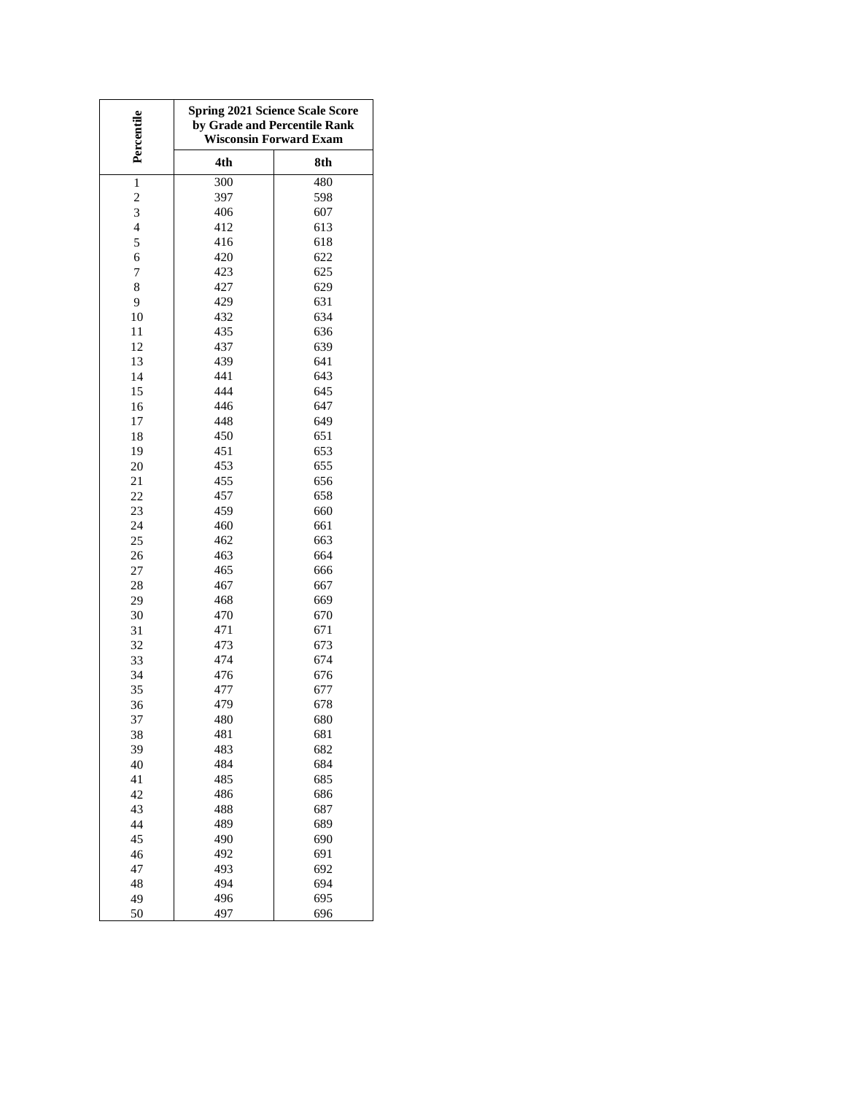| Percentile     | <b>Spring 2021 Science Scale Score</b><br>by Grade and Percentile Rank<br><b>Wisconsin Forward Exam</b> |     |  |  |  |
|----------------|---------------------------------------------------------------------------------------------------------|-----|--|--|--|
|                | 4th                                                                                                     | 8th |  |  |  |
| $\mathbf{1}$   | 300                                                                                                     | 480 |  |  |  |
| $\overline{c}$ | 397                                                                                                     | 598 |  |  |  |
| 3              | 406                                                                                                     | 607 |  |  |  |
| $\overline{4}$ | 412                                                                                                     | 613 |  |  |  |
| 5              | 416                                                                                                     | 618 |  |  |  |
| 6              | 420                                                                                                     | 622 |  |  |  |
| 7              | 423                                                                                                     | 625 |  |  |  |
| 8              | 427                                                                                                     | 629 |  |  |  |
| 9              | 429                                                                                                     | 631 |  |  |  |
| 10             | 432                                                                                                     | 634 |  |  |  |
| 11             | 435                                                                                                     | 636 |  |  |  |
| 12             | 437                                                                                                     | 639 |  |  |  |
| 13             | 439                                                                                                     | 641 |  |  |  |
| 14             | 441                                                                                                     | 643 |  |  |  |
| 15             | 444                                                                                                     | 645 |  |  |  |
| 16             | 446                                                                                                     | 647 |  |  |  |
| 17             | 448                                                                                                     | 649 |  |  |  |
| 18             | 450                                                                                                     | 651 |  |  |  |
| 19             | 451                                                                                                     | 653 |  |  |  |
| 20             | 453                                                                                                     | 655 |  |  |  |
| 21             | 455                                                                                                     | 656 |  |  |  |
| 22             | 457                                                                                                     | 658 |  |  |  |
| 23             | 459                                                                                                     | 660 |  |  |  |
| 24             | 460                                                                                                     | 661 |  |  |  |
| 25             | 462                                                                                                     | 663 |  |  |  |
| 26             | 463                                                                                                     | 664 |  |  |  |
| 27             | 465                                                                                                     | 666 |  |  |  |
| 28             | 467                                                                                                     | 667 |  |  |  |
| 29             | 468                                                                                                     | 669 |  |  |  |
| 30             | 470                                                                                                     | 670 |  |  |  |
| 31             | 471                                                                                                     | 671 |  |  |  |
| 32             | 473                                                                                                     | 673 |  |  |  |
| 33             | 474                                                                                                     | 674 |  |  |  |
| 34             | 476                                                                                                     | 676 |  |  |  |
| 35             | 477                                                                                                     | 677 |  |  |  |
| 36             | 479                                                                                                     | 678 |  |  |  |
| 37             | 480                                                                                                     | 680 |  |  |  |
| 38             | 481                                                                                                     | 681 |  |  |  |
| 39             | 483                                                                                                     | 682 |  |  |  |
| 40             | 484                                                                                                     | 684 |  |  |  |
| 41             | 485                                                                                                     | 685 |  |  |  |
| 42             | 486                                                                                                     | 686 |  |  |  |
| 43             | 488                                                                                                     | 687 |  |  |  |
| 44             | 489                                                                                                     | 689 |  |  |  |
| 45             | 490                                                                                                     | 690 |  |  |  |
| 46             | 492                                                                                                     | 691 |  |  |  |
| 47             | 493                                                                                                     | 692 |  |  |  |
| 48             | 494                                                                                                     | 694 |  |  |  |
| 49             | 496                                                                                                     | 695 |  |  |  |
| 50             | 497                                                                                                     | 696 |  |  |  |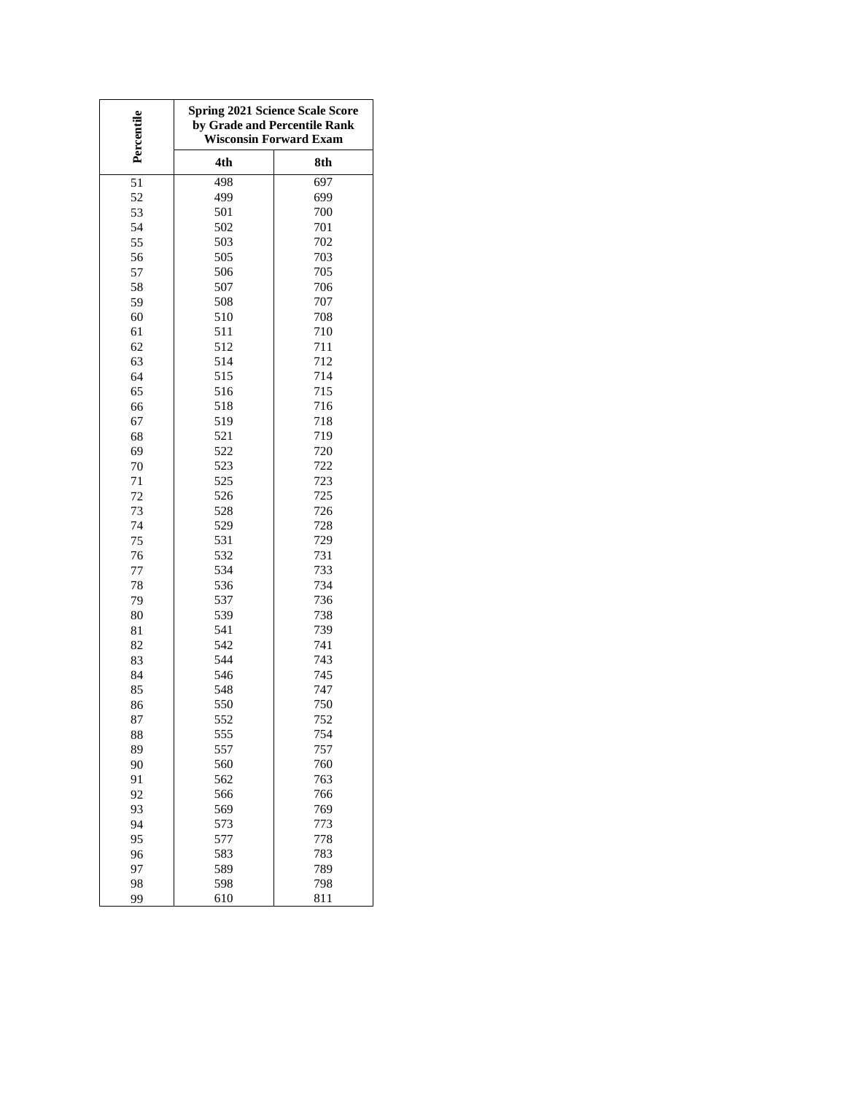| Percentile | <b>Spring 2021 Science Scale Score</b><br>by Grade and Percentile Rank<br><b>Wisconsin Forward Exam</b> |            |  |  |  |
|------------|---------------------------------------------------------------------------------------------------------|------------|--|--|--|
|            | 4th                                                                                                     | 8th        |  |  |  |
| 51         | 498                                                                                                     | 697        |  |  |  |
| 52         | 499                                                                                                     | 699        |  |  |  |
| 53         | 501                                                                                                     | 700        |  |  |  |
| 54         | 502                                                                                                     | 701        |  |  |  |
| 55         | 503                                                                                                     | 702        |  |  |  |
| 56         | 505                                                                                                     | 703        |  |  |  |
| 57         | 506                                                                                                     | 705        |  |  |  |
| 58         | 507                                                                                                     | 706        |  |  |  |
| 59         | 508                                                                                                     | 707        |  |  |  |
| 60         | 510                                                                                                     | 708        |  |  |  |
| 61         | 511                                                                                                     | 710        |  |  |  |
| 62         | 512                                                                                                     | 711        |  |  |  |
| 63         | 514                                                                                                     | 712        |  |  |  |
| 64         | 515                                                                                                     | 714        |  |  |  |
| 65         | 516                                                                                                     | 715        |  |  |  |
| 66         | 518                                                                                                     | 716        |  |  |  |
| 67         | 519                                                                                                     | 718        |  |  |  |
| 68         | 521                                                                                                     | 719        |  |  |  |
| 69         | 522                                                                                                     | 720        |  |  |  |
| 70         | 523                                                                                                     | 722        |  |  |  |
| 71         | 525                                                                                                     | 723        |  |  |  |
| 72         | 526                                                                                                     | 725        |  |  |  |
| 73         | 528                                                                                                     | 726        |  |  |  |
| 74         | 529                                                                                                     | 728        |  |  |  |
| 75         | 531                                                                                                     | 729        |  |  |  |
| 76         | 532                                                                                                     | 731        |  |  |  |
| 77         | 534                                                                                                     | 733        |  |  |  |
| 78         | 536                                                                                                     | 734        |  |  |  |
| 79         | 537                                                                                                     | 736        |  |  |  |
| 80         | 539                                                                                                     | 738        |  |  |  |
| 81         | 541                                                                                                     | 739        |  |  |  |
| 82         | 542                                                                                                     | 741        |  |  |  |
| 83         | 544                                                                                                     | 743        |  |  |  |
| 84         | 546                                                                                                     | 745        |  |  |  |
| 85<br>86   | 548<br>550                                                                                              | 747<br>750 |  |  |  |
|            |                                                                                                         |            |  |  |  |
| 87         | 552<br>555                                                                                              | 752<br>754 |  |  |  |
| 88<br>89   | 557                                                                                                     | 757        |  |  |  |
| 90         | 560                                                                                                     | 760        |  |  |  |
| 91         | 562                                                                                                     | 763        |  |  |  |
| 92         | 566                                                                                                     | 766        |  |  |  |
| 93         | 569                                                                                                     | 769        |  |  |  |
| 94         | 573                                                                                                     | 773        |  |  |  |
| 95         | 577                                                                                                     | 778        |  |  |  |
| 96         | 583                                                                                                     | 783        |  |  |  |
| 97         | 589                                                                                                     | 789        |  |  |  |
| 98         | 598                                                                                                     | 798        |  |  |  |
| 99         | 610                                                                                                     | 811        |  |  |  |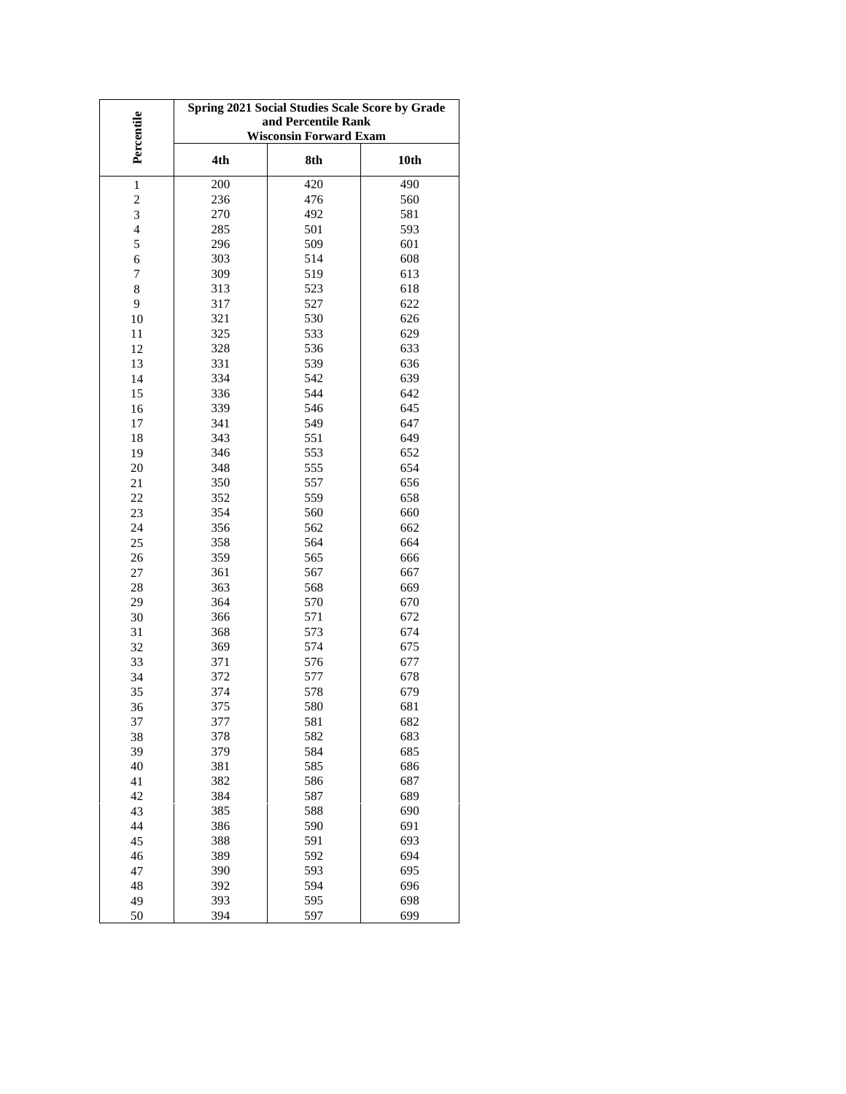|                          | Spring 2021 Social Studies Scale Score by Grade<br>and Percentile Rank |     |      |  |  |  |  |
|--------------------------|------------------------------------------------------------------------|-----|------|--|--|--|--|
| Percentile               | <b>Wisconsin Forward Exam</b>                                          |     |      |  |  |  |  |
|                          |                                                                        |     |      |  |  |  |  |
|                          | 4th                                                                    | 8th | 10th |  |  |  |  |
| $\,1$                    | 200                                                                    | 420 | 490  |  |  |  |  |
| $\overline{\mathbf{c}}$  | 236                                                                    | 476 | 560  |  |  |  |  |
| 3                        | 270                                                                    | 492 | 581  |  |  |  |  |
| $\overline{\mathcal{L}}$ | 285                                                                    | 501 | 593  |  |  |  |  |
| 5                        | 296                                                                    | 509 | 601  |  |  |  |  |
| 6                        | 303                                                                    | 514 | 608  |  |  |  |  |
| 7                        | 309                                                                    | 519 | 613  |  |  |  |  |
| $\,8\,$                  | 313                                                                    | 523 | 618  |  |  |  |  |
| 9                        | 317                                                                    | 527 | 622  |  |  |  |  |
| 10                       | 321                                                                    | 530 | 626  |  |  |  |  |
| 11                       | 325                                                                    | 533 | 629  |  |  |  |  |
| 12                       | 328                                                                    | 536 | 633  |  |  |  |  |
| 13                       | 331                                                                    | 539 | 636  |  |  |  |  |
| 14                       | 334                                                                    | 542 | 639  |  |  |  |  |
| 15                       | 336                                                                    | 544 | 642  |  |  |  |  |
| 16                       | 339                                                                    | 546 | 645  |  |  |  |  |
| 17                       | 341                                                                    | 549 | 647  |  |  |  |  |
| 18                       | 343                                                                    | 551 | 649  |  |  |  |  |
| 19                       | 346                                                                    | 553 | 652  |  |  |  |  |
| 20                       | 348                                                                    | 555 | 654  |  |  |  |  |
| 21                       | 350                                                                    | 557 | 656  |  |  |  |  |
| 22                       | 352                                                                    | 559 | 658  |  |  |  |  |
| 23                       | 354                                                                    | 560 | 660  |  |  |  |  |
| 24                       | 356                                                                    | 562 | 662  |  |  |  |  |
| 25                       | 358                                                                    | 564 | 664  |  |  |  |  |
| 26                       | 359                                                                    | 565 | 666  |  |  |  |  |
| 27                       | 361                                                                    | 567 | 667  |  |  |  |  |
| 28                       | 363                                                                    | 568 | 669  |  |  |  |  |
| 29                       | 364                                                                    | 570 | 670  |  |  |  |  |
| 30                       | 366                                                                    | 571 | 672  |  |  |  |  |
| 31                       | 368                                                                    | 573 | 674  |  |  |  |  |
| 32                       | 369                                                                    | 574 | 675  |  |  |  |  |
| 33                       | 371                                                                    | 576 | 677  |  |  |  |  |
| 34                       | 372                                                                    | 577 | 678  |  |  |  |  |
| 35                       | 374                                                                    | 578 | 679  |  |  |  |  |
| 36                       | 375                                                                    | 580 | 681  |  |  |  |  |
| 37                       | 377                                                                    | 581 | 682  |  |  |  |  |
| 38                       | 378                                                                    | 582 | 683  |  |  |  |  |
| 39                       | 379                                                                    | 584 | 685  |  |  |  |  |
| 40                       | 381                                                                    | 585 | 686  |  |  |  |  |
| 41                       | 382                                                                    | 586 | 687  |  |  |  |  |
| 42                       | 384                                                                    | 587 | 689  |  |  |  |  |
| 43                       | 385                                                                    | 588 | 690  |  |  |  |  |
| 44                       | 386                                                                    | 590 | 691  |  |  |  |  |
| 45                       | 388                                                                    | 591 | 693  |  |  |  |  |
| 46                       | 389                                                                    | 592 | 694  |  |  |  |  |
| 47                       | 390                                                                    | 593 | 695  |  |  |  |  |
| 48                       | 392                                                                    | 594 | 696  |  |  |  |  |
| 49                       | 393                                                                    | 595 | 698  |  |  |  |  |
| 50                       | 394                                                                    | 597 | 699  |  |  |  |  |